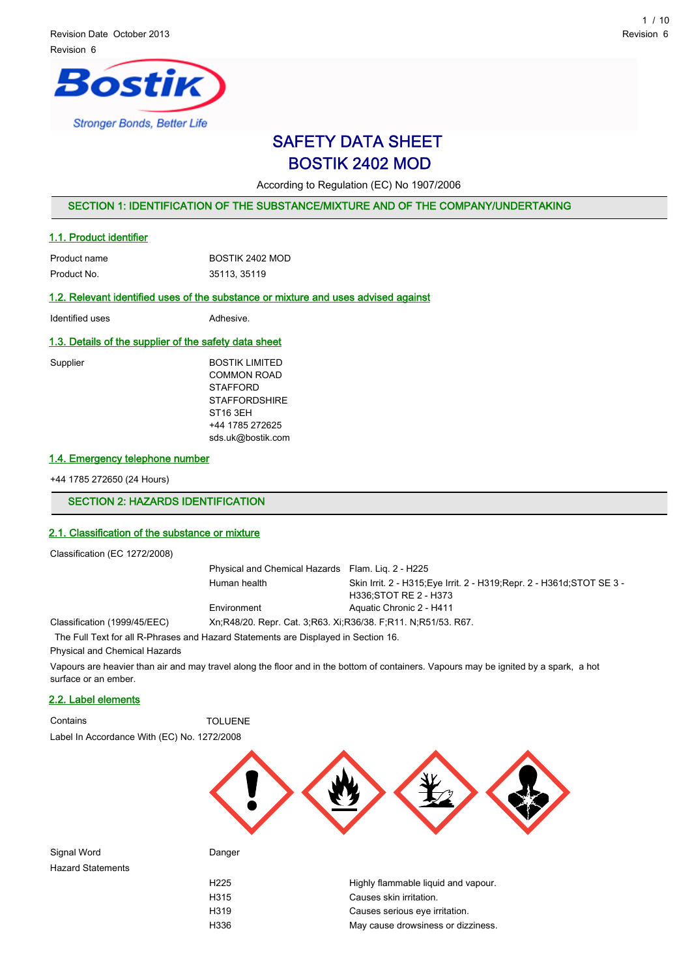

# SAFETY DATA SHEET BOSTIK 2402 MOD

According to Regulation (EC) No 1907/2006

## SECTION 1: IDENTIFICATION OF THE SUBSTANCE/MIXTURE AND OF THE COMPANY/UNDERTAKING

#### 1.1. Product identifier

| Product name | BOSTIK 2402 MOD |
|--------------|-----------------|
| Product No.  | 35113, 35119    |

## 1.2. Relevant identified uses of the substance or mixture and uses advised against

Identified uses **Adhesive.** 

#### 1.3. Details of the supplier of the safety data sheet

| Supplier | <b>BOSTIK LIMITED</b> |
|----------|-----------------------|
|          | COMMON ROAD           |
|          | <b>STAFFORD</b>       |
|          | <b>STAFFORDSHIRE</b>  |
|          | ST <sub>16</sub> 3EH  |
|          | +44 1785 272625       |
|          | sds.uk@bostik.com     |
|          |                       |

## 1.4. Emergency telephone number

+44 1785 272650 (24 Hours)

## SECTION 2: HAZARDS IDENTIFICATION

# 2.1. Classification of the substance or mixture

Classification (EC 1272/2008)

| Physical and Chemical Hazards Flam. Lig. 2 - H225                  |                                                                         |  |  |
|--------------------------------------------------------------------|-------------------------------------------------------------------------|--|--|
| Human health                                                       | Skin Irrit. 2 - H315; Eye Irrit. 2 - H319; Repr. 2 - H361d; STOT SE 3 - |  |  |
|                                                                    | H336: STOT RE 2 - H373                                                  |  |  |
| Environment                                                        | Aquatic Chronic 2 - H411                                                |  |  |
| Xn, R48/20, Repr. Cat. 3, R63, Xi, R36/38, F, R11, N, R51/53, R67. |                                                                         |  |  |

Classification (1999/45/EEC)

The Full Text for all R-Phrases and Hazard Statements are Displayed in Section 16.

Physical and Chemical Hazards

Vapours are heavier than air and may travel along the floor and in the bottom of containers. Vapours may be ignited by a spark, a hot surface or an ember.

## 2.2. Label elements

Contains TOLUENE

Label In Accordance With (EC) No. 1272/2008



Signal Word **Danger** Danger Hazard Statements

| H225 | Highly flammable liquid and vapour. |
|------|-------------------------------------|
| H315 | Causes skin irritation.             |
| H319 | Causes serious eye irritation.      |
| H336 | May cause drowsiness or dizziness.  |
|      |                                     |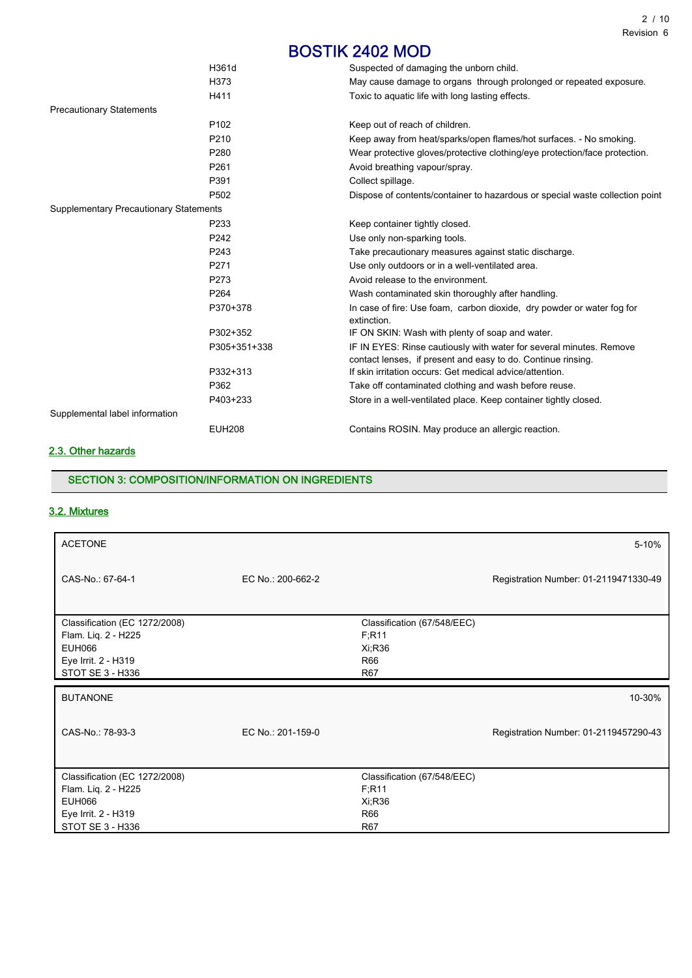|                                               | H361d            | Suspected of damaging the unborn child.                                      |
|-----------------------------------------------|------------------|------------------------------------------------------------------------------|
|                                               | H373             | May cause damage to organs through prolonged or repeated exposure.           |
|                                               | H411             | Toxic to aquatic life with long lasting effects.                             |
| <b>Precautionary Statements</b>               |                  |                                                                              |
|                                               | P <sub>102</sub> | Keep out of reach of children.                                               |
|                                               | P210             | Keep away from heat/sparks/open flames/hot surfaces. - No smoking.           |
|                                               | P <sub>280</sub> | Wear protective gloves/protective clothing/eye protection/face protection.   |
|                                               | P261             | Avoid breathing vapour/spray.                                                |
|                                               | P391             | Collect spillage.                                                            |
|                                               | P502             | Dispose of contents/container to hazardous or special waste collection point |
| <b>Supplementary Precautionary Statements</b> |                  |                                                                              |
|                                               | P <sub>233</sub> | Keep container tightly closed.                                               |
|                                               | P242             | Use only non-sparking tools.                                                 |
|                                               | P243             | Take precautionary measures against static discharge.                        |
|                                               | P <sub>271</sub> | Use only outdoors or in a well-ventilated area.                              |
|                                               | P273             | Avoid release to the environment.                                            |
|                                               | P264             | Wash contaminated skin thoroughly after handling.                            |
|                                               | P370+378         | In case of fire: Use foam, carbon dioxide, dry powder or water fog for       |
|                                               |                  | extinction.                                                                  |
|                                               | P302+352         | IF ON SKIN: Wash with plenty of soap and water.                              |
|                                               | P305+351+338     | IF IN EYES: Rinse cautiously with water for several minutes. Remove          |
|                                               |                  | contact lenses, if present and easy to do. Continue rinsing.                 |
|                                               | P332+313         | If skin irritation occurs: Get medical advice/attention.                     |
|                                               | P362             | Take off contaminated clothing and wash before reuse.                        |
|                                               | P403+233         | Store in a well-ventilated place. Keep container tightly closed.             |
| Supplemental label information                |                  |                                                                              |
|                                               | <b>EUH208</b>    | Contains ROSIN. May produce an allergic reaction.                            |
|                                               |                  |                                                                              |

# 2.3. Other hazards

## SECTION 3: COMPOSITION/INFORMATION ON INGREDIENTS

# 3.2. Mixtures

| <b>ACETONE</b>                                                                                                   |                   |                                                                | 5-10%                                 |
|------------------------------------------------------------------------------------------------------------------|-------------------|----------------------------------------------------------------|---------------------------------------|
| CAS-No.: 67-64-1                                                                                                 | EC No.: 200-662-2 |                                                                | Registration Number: 01-2119471330-49 |
| Classification (EC 1272/2008)<br>Flam. Liq. 2 - H225<br><b>EUH066</b><br>Eye Irrit. 2 - H319<br>STOT SE 3 - H336 |                   | Classification (67/548/EEC)<br>F; R11<br>Xi; R36<br>R66<br>R67 |                                       |
|                                                                                                                  |                   |                                                                |                                       |
| <b>BUTANONE</b>                                                                                                  |                   |                                                                | 10-30%                                |
| CAS-No.: 78-93-3                                                                                                 | EC No.: 201-159-0 |                                                                | Registration Number: 01-2119457290-43 |
| Classification (EC 1272/2008)                                                                                    |                   | Classification (67/548/EEC)                                    |                                       |
| Flam. Lig. 2 - H225                                                                                              |                   | F; R11                                                         |                                       |
| <b>EUH066</b>                                                                                                    |                   | Xi:R36                                                         |                                       |
| Eye Irrit. 2 - H319<br>STOT SE 3 - H336                                                                          |                   | R66<br><b>R67</b>                                              |                                       |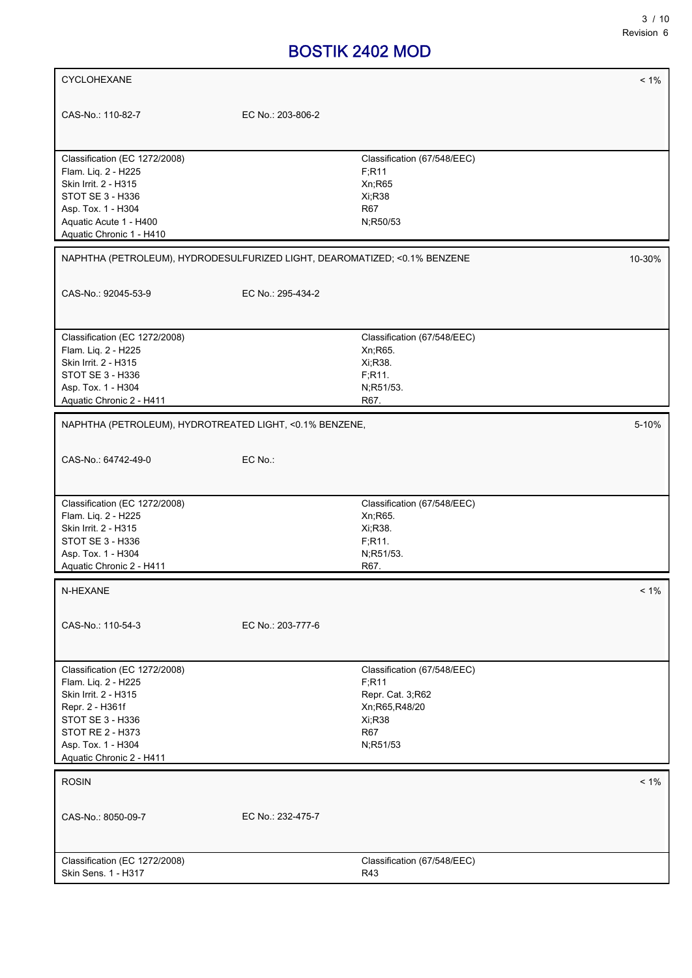| CYCLOHEXANE                                                               |                   |                                         | $< 1\%$ |
|---------------------------------------------------------------------------|-------------------|-----------------------------------------|---------|
|                                                                           |                   |                                         |         |
| CAS-No.: 110-82-7                                                         | EC No.: 203-806-2 |                                         |         |
|                                                                           |                   |                                         |         |
|                                                                           |                   |                                         |         |
| Classification (EC 1272/2008)                                             |                   | Classification (67/548/EEC)             |         |
| Flam. Liq. 2 - H225                                                       |                   | F; R11                                  |         |
| Skin Irrit. 2 - H315                                                      |                   | Xn;R65                                  |         |
| STOT SE 3 - H336<br>Asp. Tox. 1 - H304                                    |                   | Xi; R38<br><b>R67</b>                   |         |
| Aquatic Acute 1 - H400                                                    |                   | N;R50/53                                |         |
| Aquatic Chronic 1 - H410                                                  |                   |                                         |         |
|                                                                           |                   |                                         |         |
| NAPHTHA (PETROLEUM), HYDRODESULFURIZED LIGHT, DEAROMATIZED; <0.1% BENZENE |                   |                                         | 10-30%  |
|                                                                           |                   |                                         |         |
| CAS-No.: 92045-53-9                                                       | EC No.: 295-434-2 |                                         |         |
|                                                                           |                   |                                         |         |
|                                                                           |                   |                                         |         |
| Classification (EC 1272/2008)<br>Flam. Liq. 2 - H225                      |                   | Classification (67/548/EEC)<br>Xn; R65. |         |
| Skin Irrit. 2 - H315                                                      |                   | Xi, R38.                                |         |
| STOT SE 3 - H336                                                          |                   | F.R <sub>11</sub> .                     |         |
| Asp. Tox. 1 - H304                                                        |                   | N;R51/53.                               |         |
| Aquatic Chronic 2 - H411                                                  |                   | R67.                                    |         |
|                                                                           |                   |                                         |         |
| NAPHTHA (PETROLEUM), HYDROTREATED LIGHT, <0.1% BENZENE,                   |                   |                                         | 5-10%   |
|                                                                           |                   |                                         |         |
| CAS-No.: 64742-49-0                                                       | EC No.:           |                                         |         |
|                                                                           |                   |                                         |         |
| Classification (EC 1272/2008)                                             |                   | Classification (67/548/EEC)             |         |
| Flam. Liq. 2 - H225                                                       |                   | Xn; R65.                                |         |
| Skin Irrit. 2 - H315                                                      |                   | Xi, R38.                                |         |
| STOT SE 3 - H336                                                          |                   | F;R11.                                  |         |
| Asp. Tox. 1 - H304                                                        |                   | N;R51/53.                               |         |
| Aquatic Chronic 2 - H411                                                  |                   | R67.                                    |         |
| N-HEXANE                                                                  |                   |                                         | $< 1\%$ |
|                                                                           |                   |                                         |         |
| CAS-No.: 110-54-3                                                         | EC No.: 203-777-6 |                                         |         |
|                                                                           |                   |                                         |         |
|                                                                           |                   |                                         |         |
| Classification (EC 1272/2008)                                             |                   | Classification (67/548/EEC)             |         |
| Flam. Liq. 2 - H225                                                       |                   | F:R11                                   |         |
| Skin Irrit. 2 - H315                                                      |                   | Repr. Cat. 3;R62                        |         |
| Repr. 2 - H361f                                                           |                   | Xn;R65,R48/20                           |         |
| STOT SE 3 - H336                                                          |                   | Xi; R38                                 |         |
| <b>STOT RE 2 - H373</b><br>Asp. Tox. 1 - H304                             |                   | <b>R67</b>                              |         |
| Aquatic Chronic 2 - H411                                                  |                   | N;R51/53                                |         |
|                                                                           |                   |                                         |         |
| <b>ROSIN</b>                                                              |                   |                                         | $< 1\%$ |
|                                                                           |                   |                                         |         |
| CAS-No.: 8050-09-7                                                        | EC No.: 232-475-7 |                                         |         |
|                                                                           |                   |                                         |         |
|                                                                           |                   |                                         |         |
|                                                                           |                   |                                         |         |
| Classification (EC 1272/2008)<br>Skin Sens. 1 - H317                      |                   | Classification (67/548/EEC)<br>R43      |         |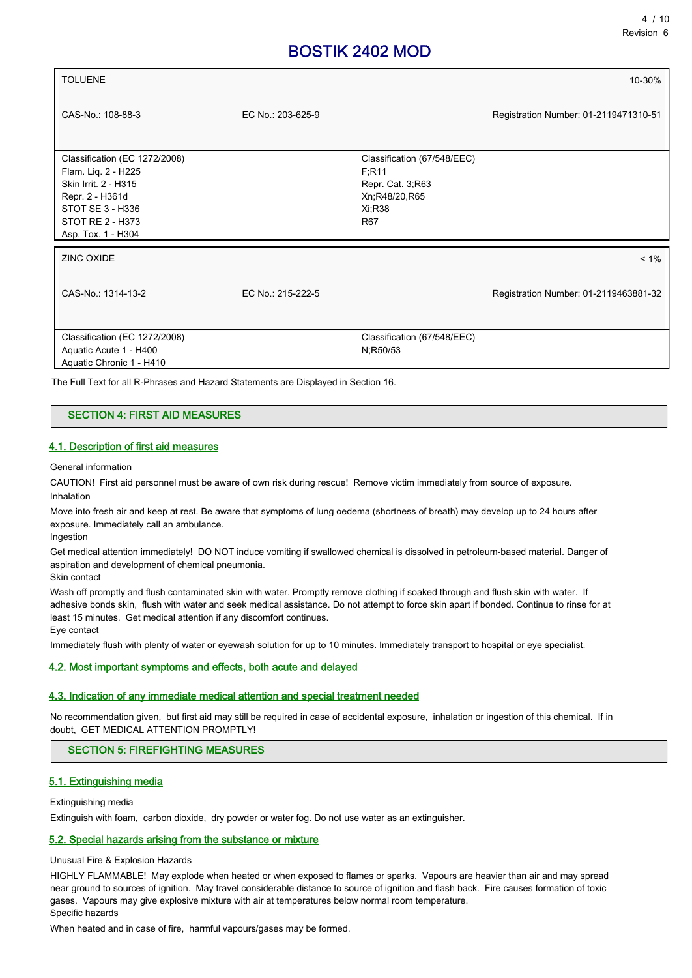| <b>TOLUENE</b>                                                                                                                                                |                   |                                                                                                            | 10-30%                                |
|---------------------------------------------------------------------------------------------------------------------------------------------------------------|-------------------|------------------------------------------------------------------------------------------------------------|---------------------------------------|
| CAS-No.: 108-88-3                                                                                                                                             | EC No.: 203-625-9 |                                                                                                            | Registration Number: 01-2119471310-51 |
| Classification (EC 1272/2008)<br>Flam. Lig. 2 - H225<br>Skin Irrit. 2 - H315<br>Repr. 2 - H361d<br>STOT SE 3 - H336<br>STOT RE 2 - H373<br>Asp. Tox. 1 - H304 |                   | Classification (67/548/EEC)<br>F.R <sub>11</sub><br>Repr. Cat. 3, R63<br>Xn;R48/20,R65<br>$Xi$ :R38<br>R67 |                                       |
| ZINC OXIDE                                                                                                                                                    |                   |                                                                                                            | $< 1\%$                               |
| CAS-No.: 1314-13-2                                                                                                                                            | EC No.: 215-222-5 |                                                                                                            | Registration Number: 01-2119463881-32 |
| Classification (EC 1272/2008)<br>Aquatic Acute 1 - H400<br>Aquatic Chronic 1 - H410                                                                           |                   | Classification (67/548/EEC)<br>N;R50/53                                                                    |                                       |

The Full Text for all R-Phrases and Hazard Statements are Displayed in Section 16.

# SECTION 4: FIRST AID MEASURES

## 4.1. Description of first aid measures

General information

CAUTION! First aid personnel must be aware of own risk during rescue! Remove victim immediately from source of exposure. Inhalation

Move into fresh air and keep at rest. Be aware that symptoms of lung oedema (shortness of breath) may develop up to 24 hours after exposure. Immediately call an ambulance.

Ingestion

Get medical attention immediately! DO NOT induce vomiting if swallowed chemical is dissolved in petroleum-based material. Danger of aspiration and development of chemical pneumonia.

Skin contact

Wash off promptly and flush contaminated skin with water. Promptly remove clothing if soaked through and flush skin with water. If adhesive bonds skin, flush with water and seek medical assistance. Do not attempt to force skin apart if bonded. Continue to rinse for at least 15 minutes. Get medical attention if any discomfort continues. Eye contact

Immediately flush with plenty of water or eyewash solution for up to 10 minutes. Immediately transport to hospital or eye specialist.

## 4.2. Most important symptoms and effects, both acute and delayed

## 4.3. Indication of any immediate medical attention and special treatment needed

No recommendation given, but first aid may still be required in case of accidental exposure, inhalation or ingestion of this chemical. If in doubt, GET MEDICAL ATTENTION PROMPTLY!

## SECTION 5: FIREFIGHTING MEASURES

## 5.1. Extinguishing media

Extinguishing media

Extinguish with foam, carbon dioxide, dry powder or water fog. Do not use water as an extinguisher.

## 5.2. Special hazards arising from the substance or mixture

Unusual Fire & Explosion Hazards

HIGHLY FLAMMABLE! May explode when heated or when exposed to flames or sparks. Vapours are heavier than air and may spread near ground to sources of ignition. May travel considerable distance to source of ignition and flash back. Fire causes formation of toxic gases. Vapours may give explosive mixture with air at temperatures below normal room temperature. Specific hazards

When heated and in case of fire, harmful vapours/gases may be formed.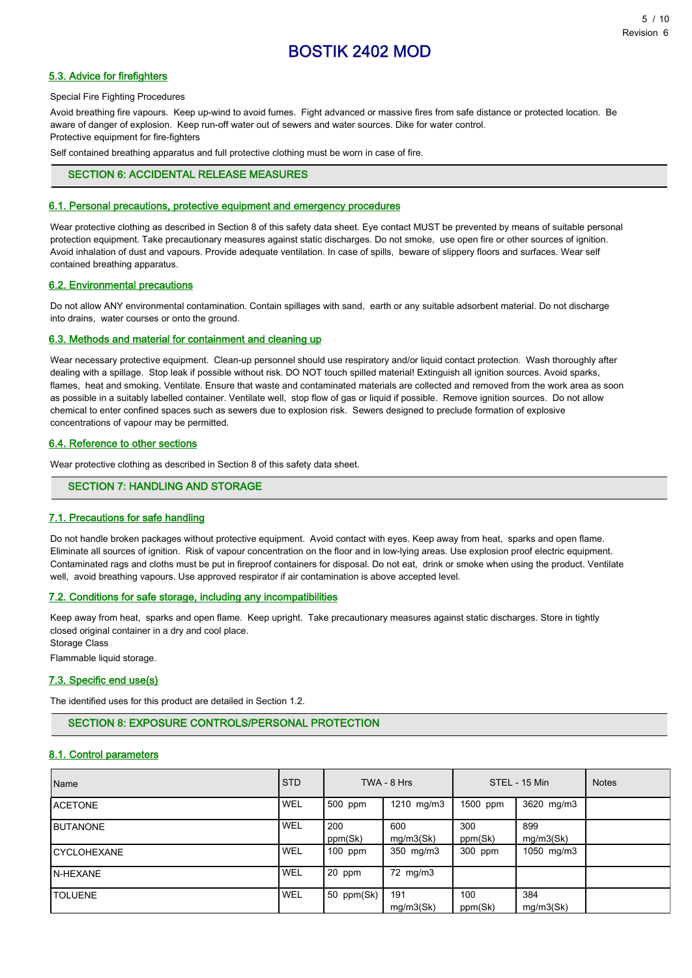## 5.3. Advice for firefighters

#### Special Fire Fighting Procedures

Avoid breathing fire vapours. Keep up-wind to avoid fumes. Fight advanced or massive fires from safe distance or protected location. Be aware of danger of explosion. Keep run-off water out of sewers and water sources. Dike for water control. Protective equipment for fire-fighters

Self contained breathing apparatus and full protective clothing must be worn in case of fire.

## SECTION 6: ACCIDENTAL RELEASE MEASURES

## 6.1. Personal precautions, protective equipment and emergency procedures

Wear protective clothing as described in Section 8 of this safety data sheet. Eye contact MUST be prevented by means of suitable personal protection equipment. Take precautionary measures against static discharges. Do not smoke, use open fire or other sources of ignition. Avoid inhalation of dust and vapours. Provide adequate ventilation. In case of spills, beware of slippery floors and surfaces. Wear self contained breathing apparatus.

## 6.2. Environmental precautions

Do not allow ANY environmental contamination. Contain spillages with sand, earth or any suitable adsorbent material. Do not discharge into drains, water courses or onto the ground.

#### 6.3. Methods and material for containment and cleaning up

Wear necessary protective equipment. Clean-up personnel should use respiratory and/or liquid contact protection. Wash thoroughly after dealing with a spillage. Stop leak if possible without risk. DO NOT touch spilled material! Extinguish all ignition sources. Avoid sparks, flames, heat and smoking. Ventilate. Ensure that waste and contaminated materials are collected and removed from the work area as soon as possible in a suitably labelled container. Ventilate well, stop flow of gas or liquid if possible. Remove ignition sources. Do not allow chemical to enter confined spaces such as sewers due to explosion risk. Sewers designed to preclude formation of explosive concentrations of vapour may be permitted.

#### 6.4. Reference to other sections

Wear protective clothing as described in Section 8 of this safety data sheet.

## SECTION 7: HANDLING AND STORAGE

## 7.1. Precautions for safe handling

Do not handle broken packages without protective equipment. Avoid contact with eyes. Keep away from heat, sparks and open flame. Eliminate all sources of ignition. Risk of vapour concentration on the floor and in low-lying areas. Use explosion proof electric equipment. Contaminated rags and cloths must be put in fireproof containers for disposal. Do not eat, drink or smoke when using the product. Ventilate well, avoid breathing vapours. Use approved respirator if air contamination is above accepted level.

#### 7.2. Conditions for safe storage, including any incompatibilities

Keep away from heat, sparks and open flame. Keep upright. Take precautionary measures against static discharges. Store in tightly closed original container in a dry and cool place.

Storage Class

Flammable liquid storage.

## 7.3. Specific end use(s)

The identified uses for this product are detailed in Section 1.2.

# SECTION 8: EXPOSURE CONTROLS/PERSONAL PROTECTION

## 8.1. Control parameters

| Name              | <b>STD</b> |                | TWA - 8 Hrs      |                | STEL - 15 Min    | <b>Notes</b> |
|-------------------|------------|----------------|------------------|----------------|------------------|--------------|
| <b>I</b> ACETONE  | <b>WEL</b> | 500 ppm        | 1210 mg/m3       | 1500 ppm       | 3620 mg/m3       |              |
| <b>I</b> BUTANONE | <b>WEL</b> | 200<br>ppm(Sk) | 600<br>mg/m3(Sk) | 300<br>ppm(Sk) | 899<br>mg/m3(Sk) |              |
| ICYCLOHEXANE      | <b>WEL</b> | 100 ppm        | 350 mg/m3        | 300 ppm        | 1050 mg/m3       |              |
| <b>IN-HEXANE</b>  | <b>WEL</b> | 20 ppm         | 72 mg/m3         |                |                  |              |
| <b>I</b> TOLUENE  | <b>WEL</b> | 50 ppm(Sk)     | 191<br>mg/m3(Sk) | 100<br>ppm(Sk) | 384<br>mg/m3(Sk) |              |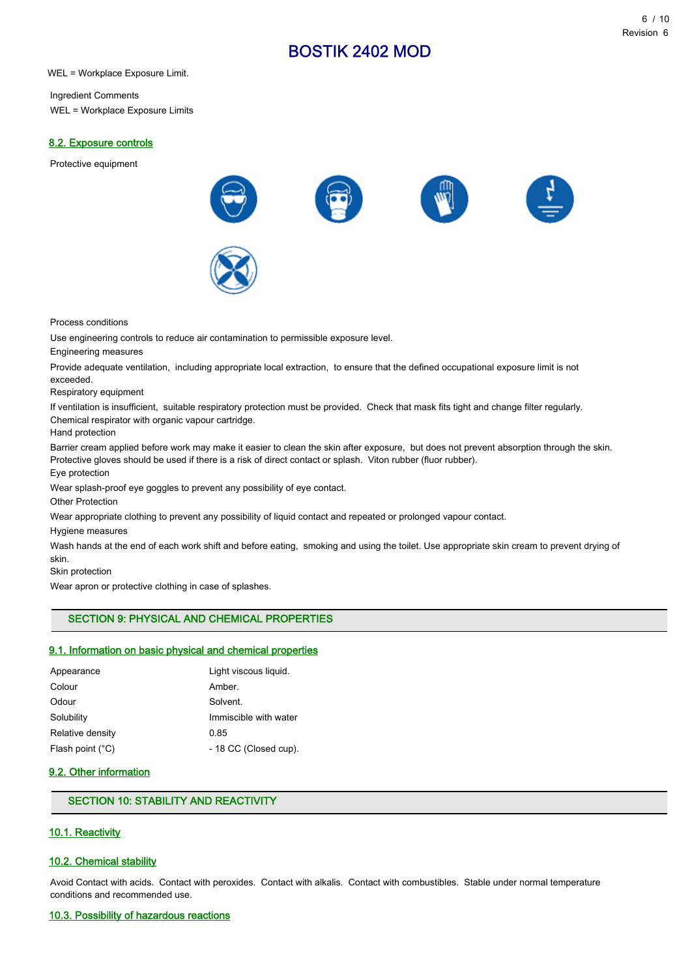WEL = Workplace Exposure Limit.

Ingredient Comments WEL = Workplace Exposure Limits

## 8.2. Exposure controls

Protective equipment



Process conditions

Use engineering controls to reduce air contamination to permissible exposure level.

Engineering measures

Provide adequate ventilation, including appropriate local extraction, to ensure that the defined occupational exposure limit is not exceeded.

Respiratory equipment

If ventilation is insufficient, suitable respiratory protection must be provided. Check that mask fits tight and change filter regularly. Chemical respirator with organic vapour cartridge.

Hand protection

Barrier cream applied before work may make it easier to clean the skin after exposure, but does not prevent absorption through the skin. Protective gloves should be used if there is a risk of direct contact or splash. Viton rubber (fluor rubber). Eye protection

Wear splash-proof eye goggles to prevent any possibility of eye contact.

Other Protection

Wear appropriate clothing to prevent any possibility of liquid contact and repeated or prolonged vapour contact.

Hygiene measures

Wash hands at the end of each work shift and before eating, smoking and using the toilet. Use appropriate skin cream to prevent drying of skin.

Skin protection

Wear apron or protective clothing in case of splashes.

# SECTION 9: PHYSICAL AND CHEMICAL PROPERTIES

## 9.1. Information on basic physical and chemical properties

| Light viscous liquid. |
|-----------------------|
| Amber.                |
| Solvent.              |
| Immiscible with water |
| 0.85                  |
| - 18 CC (Closed cup). |
|                       |

## 9.2. Other information

# SECTION 10: STABILITY AND REACTIVITY

## 10.1. Reactivity

## 10.2. Chemical stability

Avoid Contact with acids. Contact with peroxides. Contact with alkalis. Contact with combustibles. Stable under normal temperature conditions and recommended use.

#### 10.3. Possibility of hazardous reactions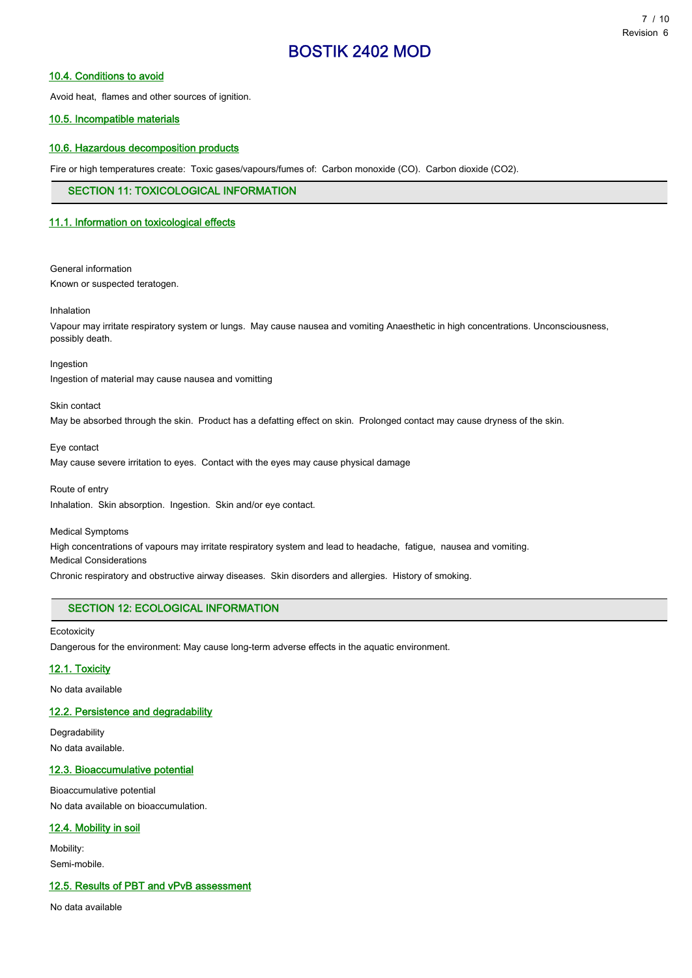## 10.4. Conditions to avoid

Avoid heat, flames and other sources of ignition.

## 10.5. Incompatible materials

## 10.6. Hazardous decomposition products

Fire or high temperatures create: Toxic gases/vapours/fumes of: Carbon monoxide (CO). Carbon dioxide (CO2).

## SECTION 11: TOXICOLOGICAL INFORMATION

## 11.1. Information on toxicological effects

General information Known or suspected teratogen.

Inhalation

Vapour may irritate respiratory system or lungs. May cause nausea and vomiting Anaesthetic in high concentrations. Unconsciousness, possibly death.

Ingestion Ingestion of material may cause nausea and vomitting

Skin contact

May be absorbed through the skin. Product has a defatting effect on skin. Prolonged contact may cause dryness of the skin.

Eye contact

May cause severe irritation to eyes. Contact with the eyes may cause physical damage

Route of entry Inhalation. Skin absorption. Ingestion. Skin and/or eye contact.

Medical Symptoms High concentrations of vapours may irritate respiratory system and lead to headache, fatigue, nausea and vomiting. Medical Considerations Chronic respiratory and obstructive airway diseases. Skin disorders and allergies. History of smoking.

# SECTION 12: ECOLOGICAL INFORMATION

**Ecotoxicity** 

Dangerous for the environment: May cause long-term adverse effects in the aquatic environment.

## 12.1. Toxicity

No data available

## 12.2. Persistence and degradability

Degradability No data available.

## 12.3. Bioaccumulative potential

Bioaccumulative potential No data available on bioaccumulation.

## 12.4. Mobility in soil

Mobility: Semi-mobile.

# 12.5. Results of PBT and vPvB assessment

No data available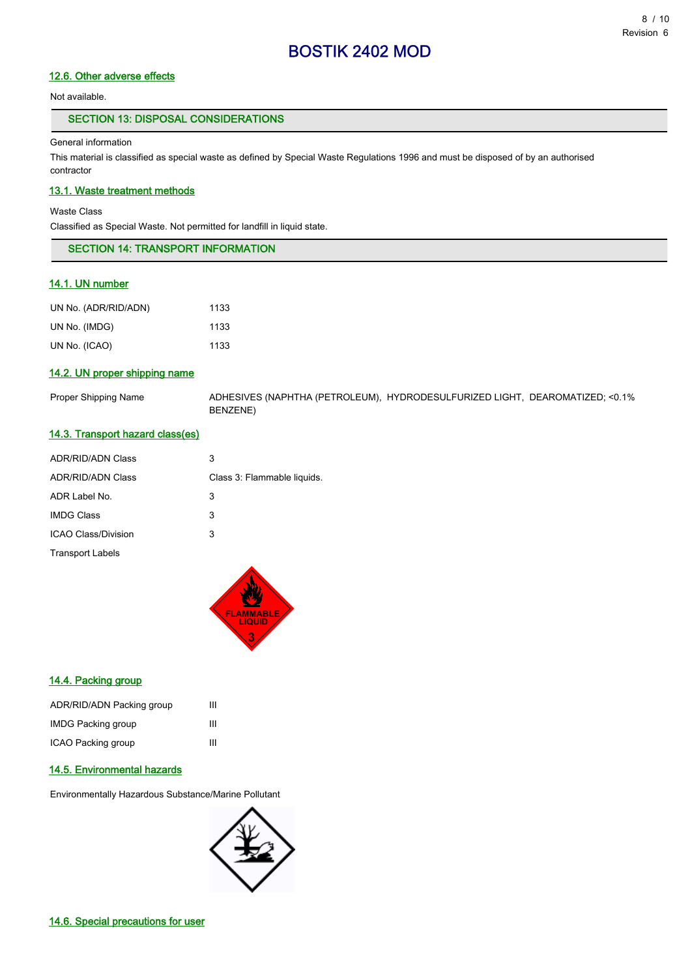# 12.6. Other adverse effects

Not available.

# SECTION 13: DISPOSAL CONSIDERATIONS

#### General information

This material is classified as special waste as defined by Special Waste Regulations 1996 and must be disposed of by an authorised contractor

# 13.1. Waste treatment methods

Waste Class

Classified as Special Waste. Not permitted for landfill in liquid state.

| <b>SECTION 14: TRANSPORT INFORMATION</b> |  |
|------------------------------------------|--|
|                                          |  |

# 14.1. UN number

| UN No. (ADR/RID/ADN) | 1133 |
|----------------------|------|
| UN No. (IMDG)        | 1133 |
| UN No. (ICAO)        | 1133 |

# 14.2. UN proper shipping name

Proper Shipping Name ADHESIVES (NAPHTHA (PETROLEUM), HYDRODESULFURIZED LIGHT, DEAROMATIZED; <0.1% BENZENE)

## 14.3. Transport hazard class(es)

| <b>ADR/RID/ADN Class</b> | 3                           |
|--------------------------|-----------------------------|
| <b>ADR/RID/ADN Class</b> | Class 3: Flammable liquids. |
| ADR Label No.            | 3                           |
| <b>IMDG Class</b>        | 3                           |
| ICAO Class/Division      | 3                           |
| <b>Transport Labels</b>  |                             |



#### 14.4. Packing group

| ADR/RID/ADN Packing group | ш |
|---------------------------|---|
| <b>IMDG Packing group</b> | ш |
| ICAO Packing group        | ш |

## 14.5. Environmental hazards

Environmentally Hazardous Substance/Marine Pollutant

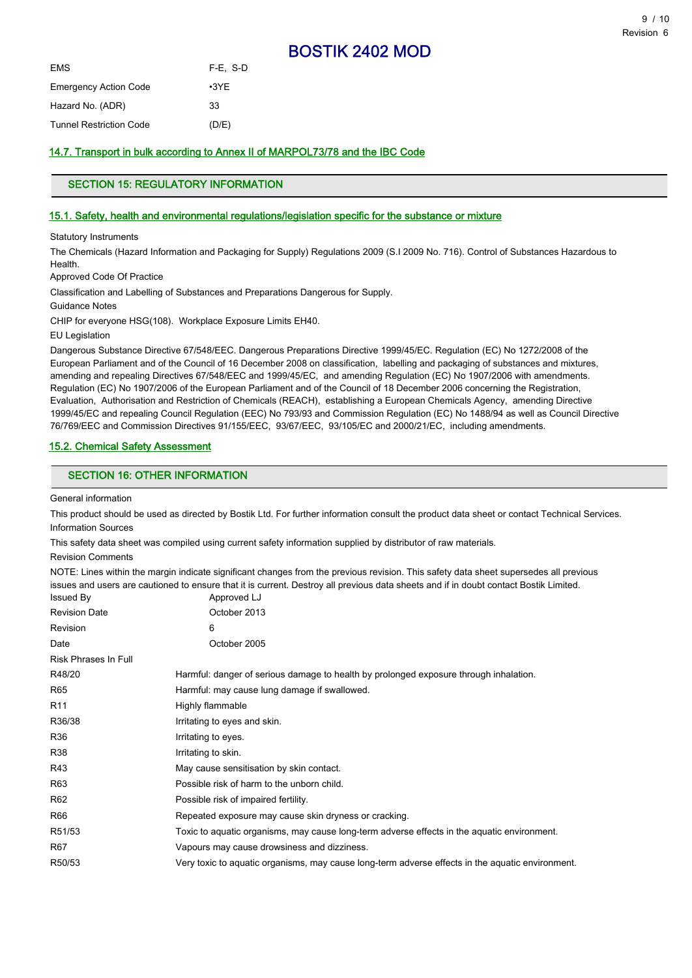| EMS                            | $F-E. S-D$  |
|--------------------------------|-------------|
| Emergency Action Code          | $\cdot$ 3YE |
| Hazard No. (ADR)               | 33          |
| <b>Tunnel Restriction Code</b> | (D/E)       |

## 14.7. Transport in bulk according to Annex II of MARPOL73/78 and the IBC Code

# SECTION 15: REGULATORY INFORMATION

## 15.1. Safety, health and environmental regulations/legislation specific for the substance or mixture

Statutory Instruments

The Chemicals (Hazard Information and Packaging for Supply) Regulations 2009 (S.I 2009 No. 716). Control of Substances Hazardous to Health.

Approved Code Of Practice

Classification and Labelling of Substances and Preparations Dangerous for Supply.

Guidance Notes

CHIP for everyone HSG(108). Workplace Exposure Limits EH40.

EU Legislation

Dangerous Substance Directive 67/548/EEC. Dangerous Preparations Directive 1999/45/EC. Regulation (EC) No 1272/2008 of the European Parliament and of the Council of 16 December 2008 on classification, labelling and packaging of substances and mixtures, amending and repealing Directives 67/548/EEC and 1999/45/EC, and amending Regulation (EC) No 1907/2006 with amendments. Regulation (EC) No 1907/2006 of the European Parliament and of the Council of 18 December 2006 concerning the Registration, Evaluation, Authorisation and Restriction of Chemicals (REACH), establishing a European Chemicals Agency, amending Directive 1999/45/EC and repealing Council Regulation (EEC) No 793/93 and Commission Regulation (EC) No 1488/94 as well as Council Directive 76/769/EEC and Commission Directives 91/155/EEC, 93/67/EEC, 93/105/EC and 2000/21/EC, including amendments.

## 15.2. Chemical Safety Assessment

## SECTION 16: OTHER INFORMATION

General information

This product should be used as directed by Bostik Ltd. For further information consult the product data sheet or contact Technical Services. Information Sources

This safety data sheet was compiled using current safety information supplied by distributor of raw materials.

Revision Comments

NOTE: Lines within the margin indicate significant changes from the previous revision. This safety data sheet supersedes all previous issues and users are cautioned to ensure that it is current. Destroy all previous data sheets and if in doubt contact Bostik Limited.

| <b>Issued By</b>     | Approved LJ                                                                                      |
|----------------------|--------------------------------------------------------------------------------------------------|
| <b>Revision Date</b> | October 2013                                                                                     |
| Revision             | 6                                                                                                |
| Date                 | October 2005                                                                                     |
| Risk Phrases In Full |                                                                                                  |
| R48/20               | Harmful: danger of serious damage to health by prolonged exposure through inhalation.            |
| R65                  | Harmful: may cause lung damage if swallowed.                                                     |
| R <sub>11</sub>      | Highly flammable                                                                                 |
| R36/38               | Irritating to eyes and skin.                                                                     |
| R36                  | Irritating to eyes.                                                                              |
| R38                  | Irritating to skin.                                                                              |
| R43                  | May cause sensitisation by skin contact.                                                         |
| R63                  | Possible risk of harm to the unborn child.                                                       |
| R62                  | Possible risk of impaired fertility.                                                             |
| R66                  | Repeated exposure may cause skin dryness or cracking.                                            |
| R51/53               | Toxic to aquatic organisms, may cause long-term adverse effects in the aquatic environment.      |
| R67                  | Vapours may cause drowsiness and dizziness.                                                      |
| R50/53               | Very toxic to aquatic organisms, may cause long-term adverse effects in the aquatic environment. |